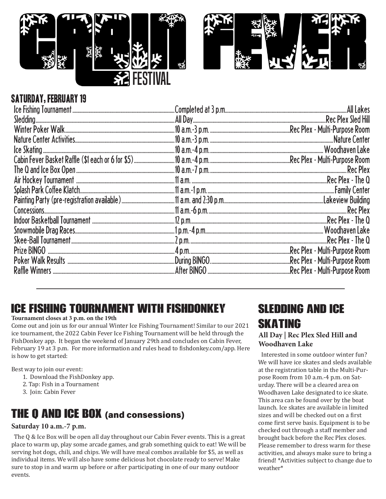



### SATURDAY, FEBRUARY 19

| Poker Walk Results ……………………………………………………………………………During BINGO……………………………………………………………Rec Plex - Multi-Purpose Room |  |
|------------------------------------------------------------------------------------------------------------------|--|
|                                                                                                                  |  |

# Ice Fishing Tournament with FishDonkey

#### **Tournament closes at 3 p.m. on the 19th**

Come out and join us for our annual Winter Ice Fishing Tournament! Similar to our 2021 ice tournament, the 2022 Cabin Fever Ice Fishing Tournament will be held through the FishDonkey app. It began the weekend of January 29th and concludes on Cabin Fever, February 19 at 3 p.m. For more information and rules head to fishdonkey.com/app. Here is how to get started:

Best way to join our event:

- 1. Download the FishDonkey app.
- 2. Tap: Fish in a Tournament
- 3. Join: Cabin Fever

## **THE Q AND ICE BOX** (and consessions)

### **Saturday 10 a.m.-7 p.m.**

The Q & Ice Box will be open all day throughout our Cabin Fever events. This is a great place to warm up, play some arcade games, and grab something quick to eat! We will be serving hot dogs, chili, and chips. We will have meal combos available for \$5, as well as individual items. We will also have some delicious hot chocolate ready to serve! Make sure to stop in and warm up before or after participating in one of our many outdoor events.

# Sledding and ice skating

### **All Day | Rec Plex Sled Hill and Woodhaven Lake**

Interested in some outdoor winter fun? We will have ice skates and sleds available at the registration table in the Multi-Purpose Room from 10 a.m.-4 p.m. on Saturday. There will be a cleared area on Woodhaven Lake designated to ice skate. This area can be found over by the boat launch. Ice skates are available in limited sizes and will be checked out on a first come first serve basis. Equipment is to be checked out through a staff member and brought back before the Rec Plex closes. Please remember to dress warm for these activities, and always make sure to bring a friend! \*Activities subject to change due to weather\*